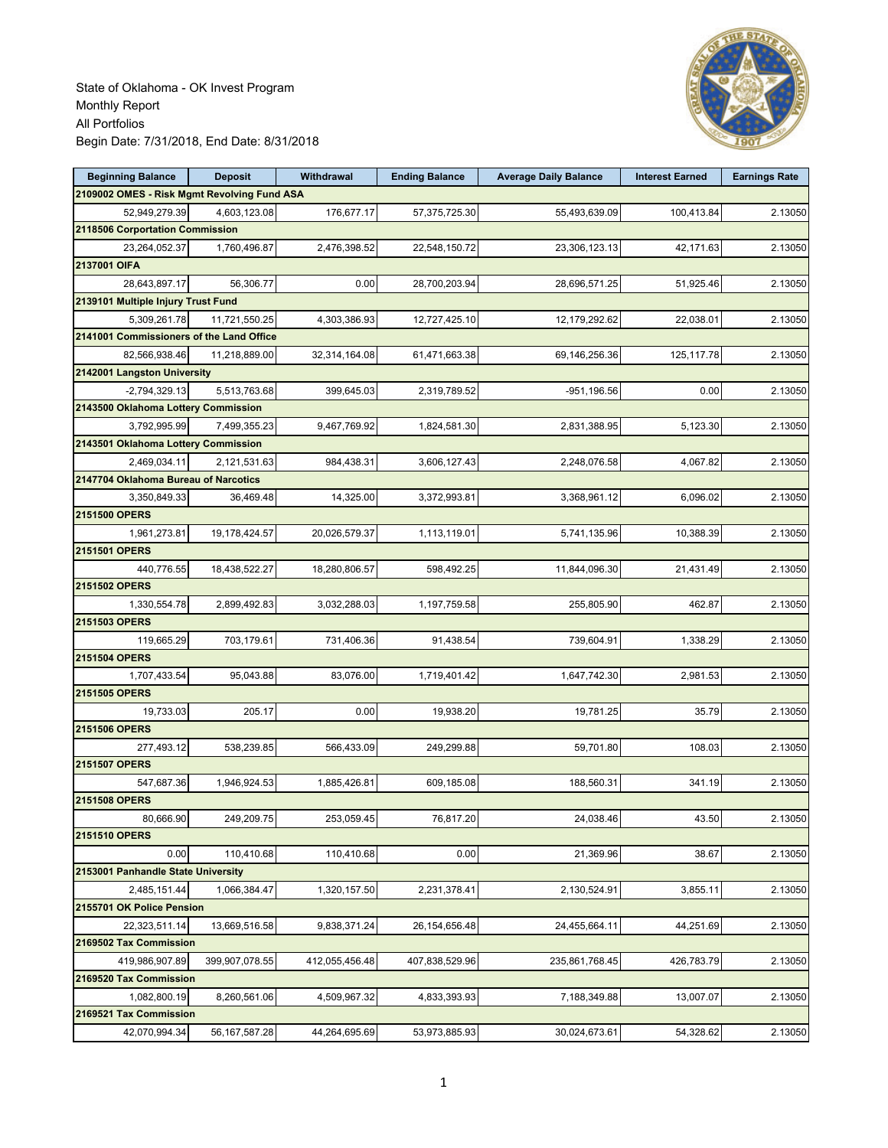

| <b>Beginning Balance</b>                    | <b>Deposit</b>   | Withdrawal     | <b>Ending Balance</b> | <b>Average Daily Balance</b> | <b>Interest Earned</b> | <b>Earnings Rate</b> |
|---------------------------------------------|------------------|----------------|-----------------------|------------------------------|------------------------|----------------------|
| 2109002 OMES - Risk Mgmt Revolving Fund ASA |                  |                |                       |                              |                        |                      |
| 52,949,279.39                               | 4,603,123.08     | 176,677.17     | 57,375,725.30         | 55,493,639.09                | 100,413.84             | 2.13050              |
| 2118506 Corportation Commission             |                  |                |                       |                              |                        |                      |
| 23,264,052.37                               | 1,760,496.87     | 2,476,398.52   | 22,548,150.72         | 23,306,123.13                | 42,171.63              | 2.13050              |
| 2137001 OIFA                                |                  |                |                       |                              |                        |                      |
| 28,643,897.17                               | 56,306.77        | 0.00           | 28,700,203.94         | 28,696,571.25                | 51,925.46              | 2.13050              |
| 2139101 Multiple Injury Trust Fund          |                  |                |                       |                              |                        |                      |
| 5,309,261.78                                | 11,721,550.25    | 4,303,386.93   | 12,727,425.10         | 12,179,292.62                | 22,038.01              | 2.13050              |
| 2141001 Commissioners of the Land Office    |                  |                |                       |                              |                        |                      |
| 82,566,938.46                               | 11,218,889.00    | 32,314,164.08  | 61,471,663.38         | 69,146,256.36                | 125, 117.78            | 2.13050              |
| 2142001 Langston University                 |                  |                |                       |                              |                        |                      |
| $-2,794,329.13$                             | 5,513,763.68     | 399,645.03     | 2,319,789.52          | -951,196.56                  | 0.00                   | 2.13050              |
| 2143500 Oklahoma Lottery Commission         |                  |                |                       |                              |                        |                      |
| 3,792,995.99                                | 7,499,355.23     | 9,467,769.92   | 1,824,581.30          | 2,831,388.95                 | 5,123.30               | 2.13050              |
| 2143501 Oklahoma Lottery Commission         |                  |                |                       |                              |                        |                      |
| 2,469,034.11                                | 2,121,531.63     | 984,438.31     | 3,606,127.43          | 2,248,076.58                 | 4,067.82               | 2.13050              |
| 2147704 Oklahoma Bureau of Narcotics        |                  |                |                       |                              |                        |                      |
| 3,350,849.33                                | 36,469.48        | 14,325.00      | 3,372,993.81          | 3,368,961.12                 | 6,096.02               | 2.13050              |
| 2151500 OPERS                               |                  |                |                       |                              |                        |                      |
| 1,961,273.81                                | 19,178,424.57    | 20,026,579.37  | 1,113,119.01          | 5,741,135.96                 | 10,388.39              | 2.13050              |
| 2151501 OPERS                               |                  |                |                       |                              |                        |                      |
| 440,776.55                                  | 18,438,522.27    | 18,280,806.57  | 598,492.25            | 11,844,096.30                | 21,431.49              | 2.13050              |
| 2151502 OPERS                               |                  |                |                       |                              |                        |                      |
| 1,330,554.78                                | 2,899,492.83     | 3,032,288.03   | 1,197,759.58          | 255,805.90                   | 462.87                 | 2.13050              |
| 2151503 OPERS                               |                  |                |                       |                              |                        |                      |
| 119,665.29                                  | 703,179.61       | 731,406.36     | 91,438.54             | 739,604.91                   | 1,338.29               | 2.13050              |
| 2151504 OPERS                               |                  |                |                       |                              |                        |                      |
| 1,707,433.54                                | 95,043.88        | 83,076.00      | 1,719,401.42          | 1,647,742.30                 | 2,981.53               | 2.13050              |
| 2151505 OPERS                               |                  |                |                       |                              |                        |                      |
| 19,733.03                                   | 205.17           | 0.00           | 19,938.20             | 19,781.25                    | 35.79                  | 2.13050              |
| 2151506 OPERS                               |                  |                |                       |                              |                        |                      |
|                                             |                  |                |                       | 59,701.80                    | 108.03                 | 2.13050              |
| 277,493.12<br>2151507 OPERS                 | 538,239.85       | 566,433.09     | 249,299.88            |                              |                        |                      |
|                                             |                  |                |                       |                              |                        |                      |
| 547,687.36                                  | 1,946,924.53     | 1,885,426.81   | 609,185.08            | 188,560.31                   | 341.19                 | 2.13050              |
| 2151508 OPERS                               |                  |                |                       |                              |                        |                      |
| 80,666.90                                   | 249,209.75       | 253,059.45     | 76,817.20             | 24,038.46                    | 43.50                  | 2.13050              |
| <b>2151510 OPERS</b>                        |                  |                |                       |                              |                        |                      |
| 0.00                                        | 110,410.68       | 110,410.68     | 0.00                  | 21,369.96                    | 38.67                  | 2.13050              |
| 2153001 Panhandle State University          |                  |                |                       |                              |                        |                      |
| 2,485,151.44                                | 1,066,384.47     | 1,320,157.50   | 2,231,378.41          | 2,130,524.91                 | 3,855.11               | 2.13050              |
| 2155701 OK Police Pension                   |                  |                |                       |                              |                        |                      |
| 22,323,511.14                               | 13,669,516.58    | 9,838,371.24   | 26, 154, 656. 48      | 24,455,664.11                | 44,251.69              | 2.13050              |
| 2169502 Tax Commission                      |                  |                |                       |                              |                        |                      |
| 419,986,907.89                              | 399,907,078.55   | 412,055,456.48 | 407,838,529.96        | 235,861,768.45               | 426,783.79             | 2.13050              |
| 2169520 Tax Commission                      |                  |                |                       |                              |                        |                      |
| 1,082,800.19                                | 8,260,561.06     | 4,509,967.32   | 4,833,393.93          | 7,188,349.88                 | 13,007.07              | 2.13050              |
| 2169521 Tax Commission                      |                  |                |                       |                              |                        |                      |
| 42,070,994.34                               | 56, 167, 587. 28 | 44,264,695.69  | 53,973,885.93         | 30,024,673.61                | 54,328.62              | 2.13050              |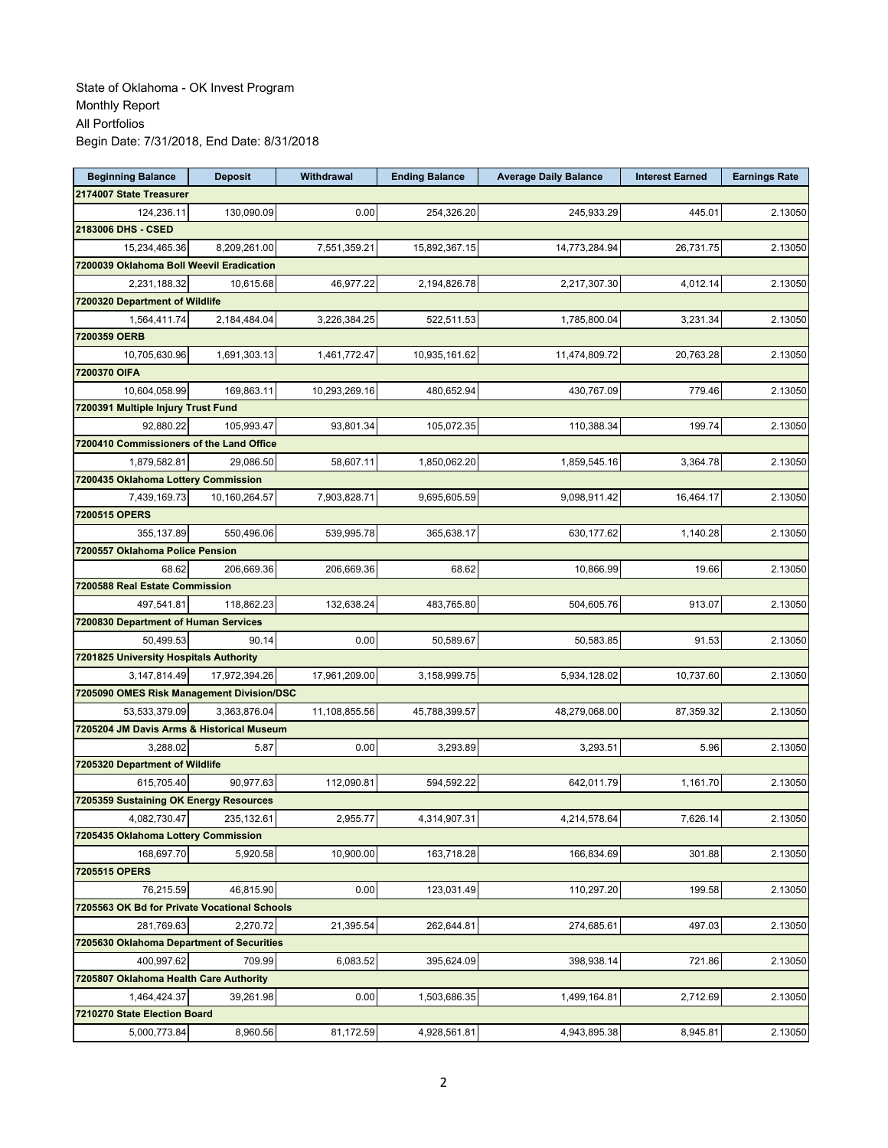| <b>Beginning Balance</b>                     | <b>Deposit</b> | Withdrawal    | <b>Ending Balance</b> | <b>Average Daily Balance</b> | <b>Interest Earned</b> | <b>Earnings Rate</b> |
|----------------------------------------------|----------------|---------------|-----------------------|------------------------------|------------------------|----------------------|
| 2174007 State Treasurer                      |                |               |                       |                              |                        |                      |
| 124,236.11                                   | 130,090.09     | 0.00          | 254,326.20            | 245,933.29                   | 445.01                 | 2.13050              |
| 2183006 DHS - CSED                           |                |               |                       |                              |                        |                      |
| 15,234,465.36                                | 8,209,261.00   | 7,551,359.21  | 15,892,367.15         | 14,773,284.94                | 26,731.75              | 2.13050              |
| 7200039 Oklahoma Boll Weevil Eradication     |                |               |                       |                              |                        |                      |
| 2,231,188.32                                 | 10,615.68      | 46,977.22     | 2,194,826.78          | 2,217,307.30                 | 4,012.14               | 2.13050              |
| 7200320 Department of Wildlife               |                |               |                       |                              |                        |                      |
| 1,564,411.74                                 | 2,184,484.04   | 3,226,384.25  | 522,511.53            | 1,785,800.04                 | 3,231.34               | 2.13050              |
| 7200359 OERB                                 |                |               |                       |                              |                        |                      |
| 10,705,630.96                                | 1,691,303.13   | 1,461,772.47  | 10,935,161.62         | 11,474,809.72                | 20,763.28              | 2.13050              |
| 7200370 OIFA                                 |                |               |                       |                              |                        |                      |
| 10,604,058.99                                | 169,863.11     | 10,293,269.16 | 480,652.94            | 430,767.09                   | 779.46                 | 2.13050              |
| 7200391 Multiple Injury Trust Fund           |                |               |                       |                              |                        |                      |
| 92,880.22                                    | 105,993.47     | 93,801.34     | 105,072.35            | 110,388.34                   | 199.74                 | 2.13050              |
| 7200410 Commissioners of the Land Office     |                |               |                       |                              |                        |                      |
| 1,879,582.81                                 | 29,086.50      | 58,607.11     | 1,850,062.20          | 1,859,545.16                 | 3,364.78               | 2.13050              |
| 7200435 Oklahoma Lottery Commission          |                |               |                       |                              |                        |                      |
| 7,439,169.73                                 | 10,160,264.57  | 7,903,828.71  | 9,695,605.59          | 9,098,911.42                 | 16,464.17              | 2.13050              |
| 7200515 OPERS                                |                |               |                       |                              |                        |                      |
| 355,137.89                                   | 550,496.06     | 539,995.78    | 365,638.17            | 630,177.62                   | 1,140.28               | 2.13050              |
| 7200557 Oklahoma Police Pension              |                |               |                       |                              |                        |                      |
| 68.62                                        | 206,669.36     | 206,669.36    | 68.62                 | 10,866.99                    | 19.66                  | 2.13050              |
| 7200588 Real Estate Commission               |                |               |                       |                              |                        |                      |
| 497,541.81                                   | 118,862.23     | 132,638.24    | 483,765.80            | 504,605.76                   | 913.07                 | 2.13050              |
| 7200830 Department of Human Services         |                |               |                       |                              |                        |                      |
| 50,499.53                                    | 90.14          | 0.00          | 50,589.67             | 50,583.85                    | 91.53                  | 2.13050              |
| 7201825 University Hospitals Authority       |                |               |                       |                              |                        |                      |
| 3,147,814.49                                 | 17,972,394.26  | 17,961,209.00 | 3,158,999.75          | 5,934,128.02                 | 10,737.60              | 2.13050              |
| 7205090 OMES Risk Management Division/DSC    |                |               |                       |                              |                        |                      |
| 53,533,379.09                                | 3,363,876.04   | 11,108,855.56 | 45,788,399.57         | 48,279,068.00                | 87,359.32              | 2.13050              |
| 7205204 JM Davis Arms & Historical Museum    |                |               |                       |                              |                        |                      |
| 3,288.02                                     | 5.87           | 0.00          | 3,293.89              | 3,293.51                     | 5.96                   | 2.13050              |
| 7205320 Department of Wildlife               |                |               |                       |                              |                        |                      |
| 615,705.40                                   | 90,977.63      | 112,090.81    | 594,592.22            | 642,011.79                   | 1,161.70               | 2.13050              |
| 7205359 Sustaining OK Energy Resources       |                |               |                       |                              |                        |                      |
| 4,082,730.47                                 | 235,132.61     | 2,955.77      | 4,314,907.31          | 4,214,578.64                 | 7,626.14               | 2.13050              |
| 7205435 Oklahoma Lottery Commission          |                |               |                       |                              |                        |                      |
| 168.697.70                                   | 5,920.58       | 10,900.00     | 163,718.28            | 166,834.69                   | 301.88                 | 2.13050              |
| 7205515 OPERS                                |                |               |                       |                              |                        |                      |
| 76,215.59                                    | 46,815.90      | 0.00          | 123,031.49            | 110,297.20                   | 199.58                 | 2.13050              |
| 7205563 OK Bd for Private Vocational Schools |                |               |                       |                              |                        |                      |
| 281,769.63                                   | 2,270.72       | 21,395.54     | 262,644.81            | 274,685.61                   | 497.03                 | 2.13050              |
| 7205630 Oklahoma Department of Securities    |                |               |                       |                              |                        |                      |
| 400,997.62                                   | 709.99         | 6,083.52      | 395,624.09            | 398,938.14                   | 721.86                 | 2.13050              |
| 7205807 Oklahoma Health Care Authority       |                |               |                       |                              |                        |                      |
| 1,464,424.37                                 | 39,261.98      | 0.00          | 1,503,686.35          | 1,499,164.81                 | 2,712.69               | 2.13050              |
| 7210270 State Election Board                 |                |               |                       |                              |                        |                      |
| 5,000,773.84                                 | 8,960.56       | 81,172.59     | 4,928,561.81          | 4,943,895.38                 | 8,945.81               | 2.13050              |
|                                              |                |               |                       |                              |                        |                      |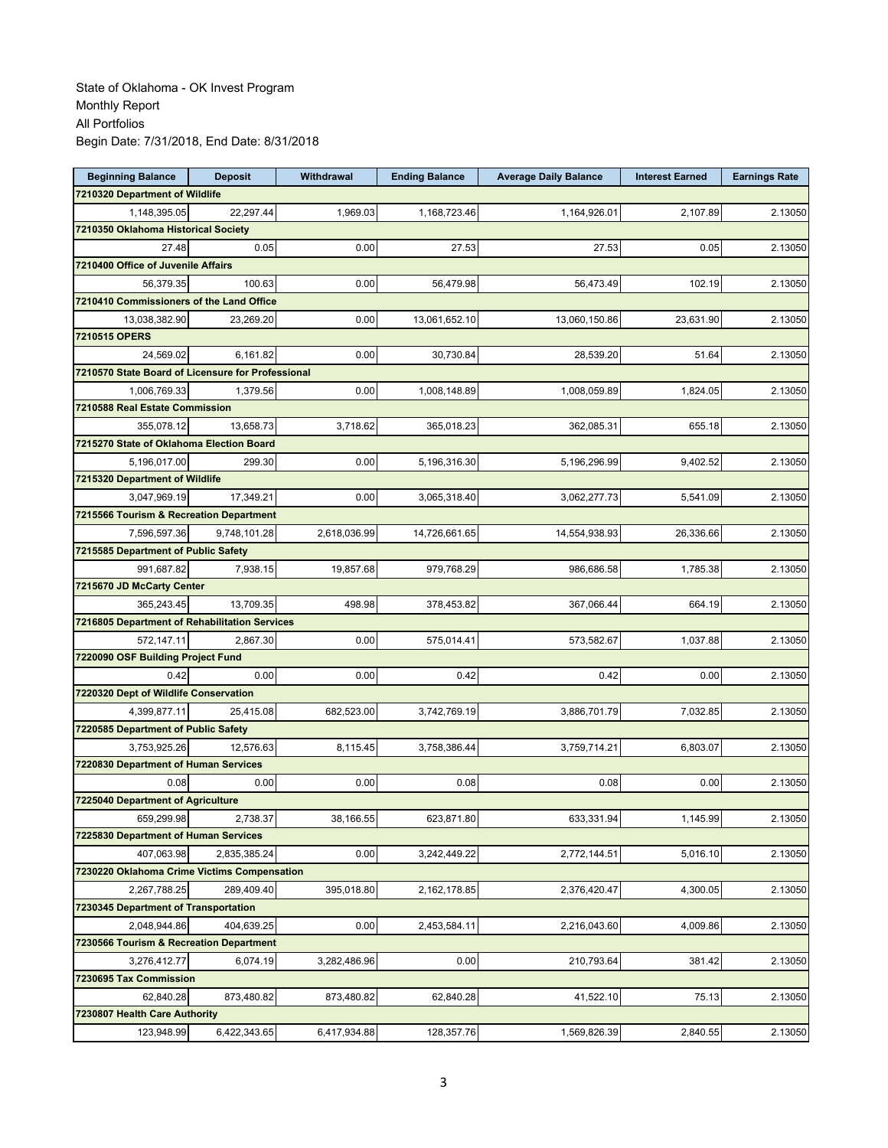| <b>Beginning Balance</b>                            | <b>Deposit</b> | Withdrawal   | <b>Ending Balance</b> | <b>Average Daily Balance</b> | <b>Interest Earned</b> | <b>Earnings Rate</b> |
|-----------------------------------------------------|----------------|--------------|-----------------------|------------------------------|------------------------|----------------------|
| 7210320 Department of Wildlife                      |                |              |                       |                              |                        |                      |
| 1,148,395.05                                        | 22.297.44      | 1,969.03     | 1,168,723.46          | 1,164,926.01                 | 2,107.89               | 2.13050              |
| 7210350 Oklahoma Historical Society                 |                |              |                       |                              |                        |                      |
| 27.48                                               | 0.05           | 0.00         | 27.53                 | 27.53                        | 0.05                   | 2.13050              |
| 7210400 Office of Juvenile Affairs                  |                |              |                       |                              |                        |                      |
| 56,379.35                                           | 100.63         | 0.00         | 56,479.98             | 56,473.49                    | 102.19                 | 2.13050              |
| 7210410 Commissioners of the Land Office            |                |              |                       |                              |                        |                      |
| 13,038,382.90                                       | 23,269.20      | 0.00         | 13,061,652.10         | 13,060,150.86                | 23,631.90              | 2.13050              |
| 7210515 OPERS                                       |                |              |                       |                              |                        |                      |
| 24,569.02                                           | 6,161.82       | 0.00         | 30,730.84             | 28,539.20                    | 51.64                  | 2.13050              |
| 7210570 State Board of Licensure for Professional   |                |              |                       |                              |                        |                      |
| 1,006,769.33                                        | 1,379.56       | 0.00         | 1,008,148.89          | 1,008,059.89                 | 1,824.05               | 2.13050              |
| 7210588 Real Estate Commission                      |                |              |                       |                              |                        |                      |
| 355,078.12                                          | 13,658.73      | 3,718.62     | 365,018.23            | 362,085.31                   | 655.18                 | 2.13050              |
| 7215270 State of Oklahoma Election Board            |                |              |                       |                              |                        |                      |
| 5,196,017.00                                        | 299.30         | 0.00         | 5,196,316.30          | 5,196,296.99                 | 9,402.52               | 2.13050              |
| 7215320 Department of Wildlife                      |                |              |                       |                              |                        |                      |
| 3,047,969.19                                        | 17.349.21      | 0.00         | 3,065,318.40          | 3,062,277.73                 | 5,541.09               | 2.13050              |
| 7215566 Tourism & Recreation Department             |                |              |                       |                              |                        |                      |
| 7,596,597.36                                        | 9,748,101.28   | 2,618,036.99 | 14,726,661.65         | 14,554,938.93                | 26,336.66              | 2.13050              |
| 7215585 Department of Public Safety                 |                |              |                       |                              |                        |                      |
| 991,687.82                                          | 7,938.15       | 19,857.68    | 979,768.29            | 986,686.58                   | 1,785.38               | 2.13050              |
| 7215670 JD McCarty Center                           |                |              |                       |                              |                        |                      |
| 365,243.45                                          | 13,709.35      | 498.98       | 378,453.82            | 367,066.44                   | 664.19                 | 2.13050              |
| 7216805 Department of Rehabilitation Services       |                |              |                       |                              |                        |                      |
| 572,147.11                                          | 2,867.30       | 0.00         | 575,014.41            | 573,582.67                   | 1,037.88               | 2.13050              |
| 7220090 OSF Building Project Fund                   |                |              |                       |                              |                        |                      |
| 0.42                                                | 0.00           | 0.00         | 0.42                  | 0.42                         | 0.00                   | 2.13050              |
|                                                     |                |              |                       |                              |                        |                      |
| 7220320 Dept of Wildlife Conservation               |                |              |                       |                              |                        |                      |
| 4,399,877.11<br>7220585 Department of Public Safety | 25,415.08      | 682,523.00   | 3,742,769.19          | 3,886,701.79                 | 7,032.85               | 2.13050              |
|                                                     |                |              |                       |                              |                        | 2.13050              |
| 3,753,925.26                                        | 12,576.63      | 8,115.45     | 3,758,386.44          | 3,759,714.21                 | 6,803.07               |                      |
| 7220830 Department of Human Services                |                |              |                       |                              |                        |                      |
| 0.08                                                | 0.00           | 0.00         | 0.08                  | 0.08                         | 0.00                   | 2.13050              |
| 7225040 Department of Agriculture                   |                |              |                       |                              |                        |                      |
| 659,299.98                                          | 2,738.37       | 38,166.55    | 623,871.80            | 633,331.94                   | 1,145.99               | 2.13050              |
| 7225830 Department of Human Services                |                |              |                       |                              |                        |                      |
| 407,063.98                                          | 2.835.385.24   | 0.00         | 3,242,449.22          | 2,772,144.51                 | 5,016.10               | 2.13050              |
| 7230220 Oklahoma Crime Victims Compensation         |                |              |                       |                              |                        |                      |
| 2,267,788.25                                        | 289,409.40     | 395,018.80   | 2,162,178.85          | 2,376,420.47                 | 4,300.05               | 2.13050              |
| 7230345 Department of Transportation                |                |              |                       |                              |                        |                      |
| 2,048,944.86                                        | 404,639.25     | 0.00         | 2,453,584.11          | 2,216,043.60                 | 4,009.86               | 2.13050              |
| 7230566 Tourism & Recreation Department             |                |              |                       |                              |                        |                      |
| 3,276,412.77                                        | 6,074.19       | 3,282,486.96 | 0.00                  | 210,793.64                   | 381.42                 | 2.13050              |
| 7230695 Tax Commission                              |                |              |                       |                              |                        |                      |
| 62,840.28                                           | 873,480.82     | 873,480.82   | 62,840.28             | 41,522.10                    | 75.13                  | 2.13050              |
| 7230807 Health Care Authority                       |                |              |                       |                              |                        |                      |
| 123,948.99                                          | 6,422,343.65   | 6,417,934.88 | 128,357.76            | 1,569,826.39                 | 2,840.55               | 2.13050              |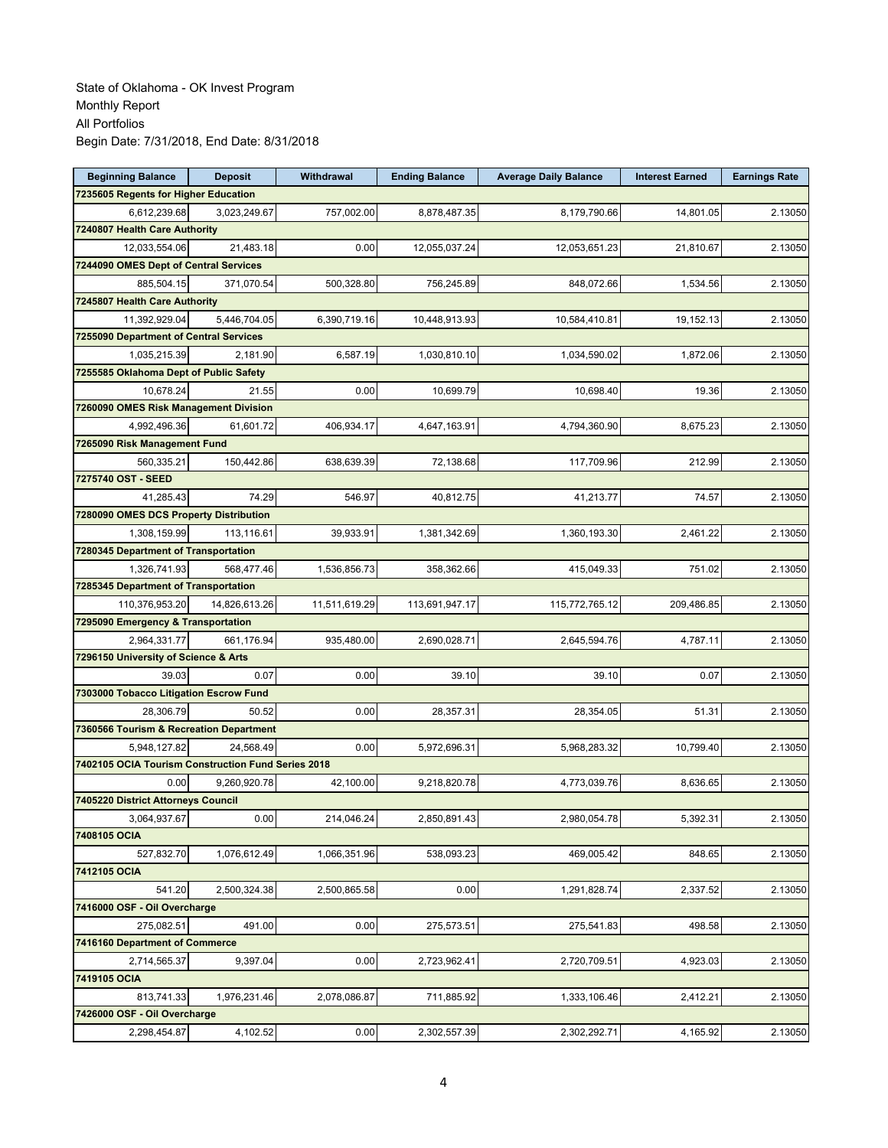| <b>Beginning Balance</b>                           | <b>Deposit</b> | Withdrawal    | <b>Ending Balance</b> | <b>Average Daily Balance</b> | <b>Interest Earned</b> | <b>Earnings Rate</b> |
|----------------------------------------------------|----------------|---------------|-----------------------|------------------------------|------------------------|----------------------|
| 7235605 Regents for Higher Education               |                |               |                       |                              |                        |                      |
| 6,612,239.68                                       | 3,023,249.67   | 757,002.00    | 8,878,487.35          | 8,179,790.66                 | 14,801.05              | 2.13050              |
| 7240807 Health Care Authority                      |                |               |                       |                              |                        |                      |
| 12,033,554.06                                      | 21,483.18      | 0.00          | 12,055,037.24         | 12,053,651.23                | 21,810.67              | 2.13050              |
| 7244090 OMES Dept of Central Services              |                |               |                       |                              |                        |                      |
| 885,504.15                                         | 371,070.54     | 500,328.80    | 756,245.89            | 848,072.66                   | 1,534.56               | 2.13050              |
| 7245807 Health Care Authority                      |                |               |                       |                              |                        |                      |
| 11,392,929.04                                      | 5,446,704.05   | 6,390,719.16  | 10,448,913.93         | 10,584,410.81                | 19,152.13              | 2.13050              |
| 7255090 Department of Central Services             |                |               |                       |                              |                        |                      |
| 1,035,215.39                                       | 2,181.90       | 6,587.19      | 1,030,810.10          | 1,034,590.02                 | 1,872.06               | 2.13050              |
| 7255585 Oklahoma Dept of Public Safety             |                |               |                       |                              |                        |                      |
| 10,678.24                                          | 21.55          | 0.00          | 10,699.79             | 10,698.40                    | 19.36                  | 2.13050              |
| 7260090 OMES Risk Management Division              |                |               |                       |                              |                        |                      |
| 4,992,496.36                                       | 61,601.72      | 406,934.17    | 4,647,163.91          | 4,794,360.90                 | 8,675.23               | 2.13050              |
| 7265090 Risk Management Fund                       |                |               |                       |                              |                        |                      |
| 560,335.21                                         | 150,442.86     | 638,639.39    | 72,138.68             | 117,709.96                   | 212.99                 | 2.13050              |
| 7275740 OST - SEED                                 |                |               |                       |                              |                        |                      |
| 41,285.43                                          | 74.29          | 546.97        | 40.812.75             | 41,213.77                    | 74.57                  | 2.13050              |
| 7280090 OMES DCS Property Distribution             |                |               |                       |                              |                        |                      |
| 1,308,159.99                                       | 113,116.61     | 39,933.91     | 1,381,342.69          | 1,360,193.30                 | 2,461.22               | 2.13050              |
| 7280345 Department of Transportation               |                |               |                       |                              |                        |                      |
| 1,326,741.93                                       | 568,477.46     | 1,536,856.73  | 358,362.66            | 415,049.33                   | 751.02                 | 2.13050              |
| 7285345 Department of Transportation               |                |               |                       |                              |                        |                      |
| 110,376,953.20                                     | 14,826,613.26  | 11,511,619.29 | 113,691,947.17        | 115,772,765.12               | 209,486.85             | 2.13050              |
| 7295090 Emergency & Transportation                 |                |               |                       |                              |                        |                      |
| 2,964,331.77                                       | 661,176.94     | 935,480.00    | 2,690,028.71          | 2,645,594.76                 | 4,787.11               | 2.13050              |
| 7296150 University of Science & Arts               |                |               |                       |                              |                        |                      |
| 39.03                                              | 0.07           | 0.00          | 39.10                 | 39.10                        | 0.07                   | 2.13050              |
|                                                    |                |               |                       |                              |                        |                      |
| 7303000 Tobacco Litigation Escrow Fund             |                | 0.00          |                       |                              |                        |                      |
| 28,306.79                                          | 50.52          |               | 28,357.31             | 28,354.05                    | 51.31                  | 2.13050              |
| 7360566 Tourism & Recreation Department            |                |               |                       |                              |                        | 2.13050              |
| 5,948,127.82                                       | 24,568.49      | 0.00          | 5,972,696.31          | 5,968,283.32                 | 10,799.40              |                      |
| 7402105 OCIA Tourism Construction Fund Series 2018 |                |               |                       |                              |                        |                      |
| 0.00                                               | 9,260,920.78   | 42,100.00     | 9,218,820.78          | 4,773,039.76                 | 8,636.65               | 2.13050              |
| 7405220 District Attorneys Council                 |                |               |                       |                              |                        |                      |
| 3,064,937.67                                       | 0.00           | 214,046.24    | 2,850,891.43          | 2,980,054.78                 | 5,392.31               | 2.13050              |
| 7408105 OCIA                                       |                |               |                       |                              |                        |                      |
| 527,832.70                                         | 1,076,612.49   | 1,066,351.96  | 538,093.23            | 469,005.42                   | 848.65                 | 2.13050              |
| 7412105 OCIA                                       |                |               |                       |                              |                        |                      |
| 541.20                                             | 2,500,324.38   | 2,500,865.58  | 0.00                  | 1,291,828.74                 | 2,337.52               | 2.13050              |
| 7416000 OSF - Oil Overcharge                       |                |               |                       |                              |                        |                      |
| 275,082.51                                         | 491.00         | 0.00          | 275,573.51            | 275,541.83                   | 498.58                 | 2.13050              |
| 7416160 Department of Commerce                     |                |               |                       |                              |                        |                      |
| 2,714,565.37                                       | 9,397.04       | 0.00          | 2,723,962.41          | 2,720,709.51                 | 4,923.03               | 2.13050              |
| 7419105 OCIA                                       |                |               |                       |                              |                        |                      |
| 813,741.33                                         | 1,976,231.46   | 2,078,086.87  | 711,885.92            | 1,333,106.46                 | 2,412.21               | 2.13050              |
| 7426000 OSF - Oil Overcharge                       |                |               |                       |                              |                        |                      |
| 2,298,454.87                                       | 4,102.52       | 0.00          | 2,302,557.39          | 2,302,292.71                 | 4,165.92               | 2.13050              |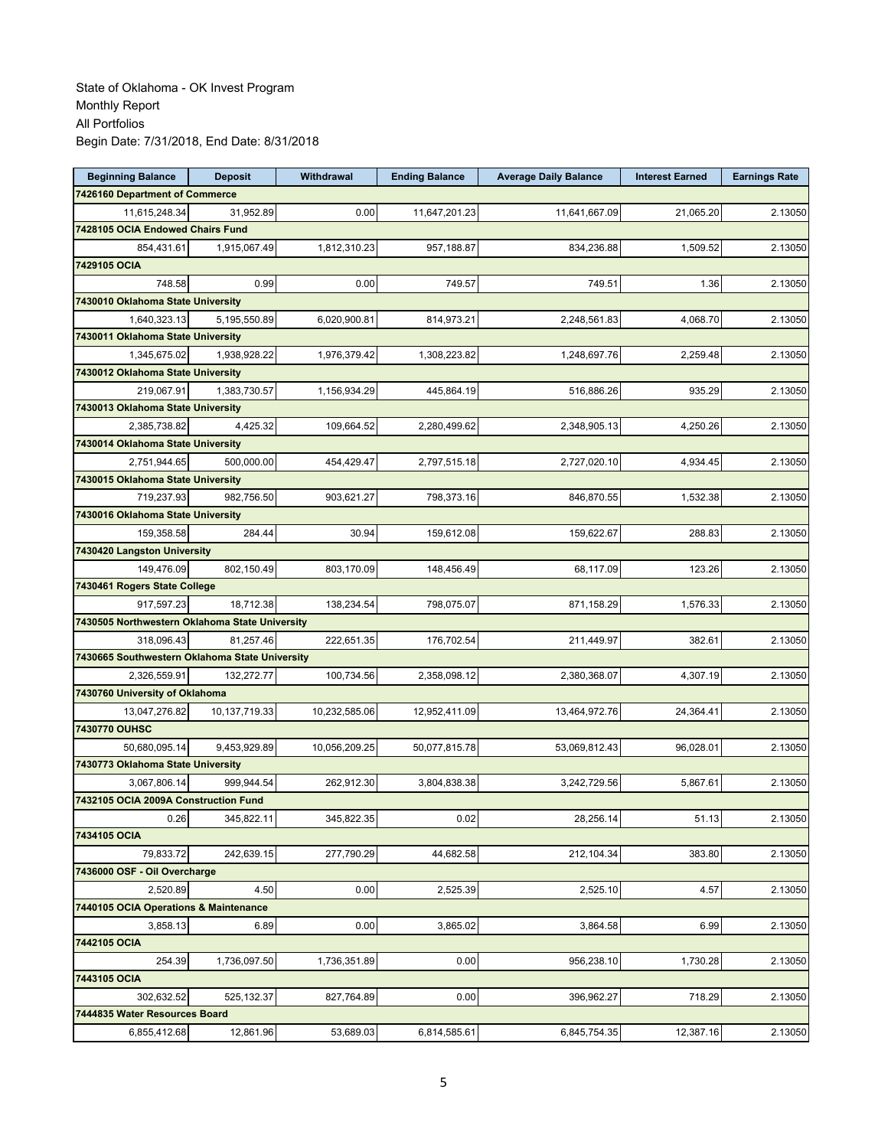| <b>Beginning Balance</b>                       | <b>Deposit</b> | Withdrawal    | <b>Ending Balance</b> | <b>Average Daily Balance</b> | <b>Interest Earned</b> | <b>Earnings Rate</b> |
|------------------------------------------------|----------------|---------------|-----------------------|------------------------------|------------------------|----------------------|
| 7426160 Department of Commerce                 |                |               |                       |                              |                        |                      |
| 11,615,248.34                                  | 31,952.89      | 0.00          | 11,647,201.23         | 11,641,667.09                | 21.065.20              | 2.13050              |
| 7428105 OCIA Endowed Chairs Fund               |                |               |                       |                              |                        |                      |
| 854,431.61                                     | 1,915,067.49   | 1,812,310.23  | 957,188.87            | 834,236.88                   | 1,509.52               | 2.13050              |
| 7429105 OCIA                                   |                |               |                       |                              |                        |                      |
| 748.58                                         | 0.99           | 0.00          | 749.57                | 749.51                       | 1.36                   | 2.13050              |
| 7430010 Oklahoma State University              |                |               |                       |                              |                        |                      |
| 1,640,323.13                                   | 5,195,550.89   | 6,020,900.81  | 814,973.21            | 2,248,561.83                 | 4.068.70               | 2.13050              |
| 7430011 Oklahoma State University              |                |               |                       |                              |                        |                      |
| 1,345,675.02                                   | 1,938,928.22   | 1,976,379.42  | 1,308,223.82          | 1,248,697.76                 | 2,259.48               | 2.13050              |
| 7430012 Oklahoma State University              |                |               |                       |                              |                        |                      |
| 219,067.91                                     | 1,383,730.57   | 1,156,934.29  | 445,864.19            | 516,886.26                   | 935.29                 | 2.13050              |
| 7430013 Oklahoma State University              |                |               |                       |                              |                        |                      |
| 2,385,738.82                                   | 4,425.32       | 109,664.52    | 2,280,499.62          | 2,348,905.13                 | 4,250.26               | 2.13050              |
| 7430014 Oklahoma State University              |                |               |                       |                              |                        |                      |
| 2,751,944.65                                   | 500.000.00     | 454,429.47    | 2,797,515.18          | 2,727,020.10                 | 4,934.45               | 2.13050              |
| 7430015 Oklahoma State University              |                |               |                       |                              |                        |                      |
| 719,237.93                                     | 982,756.50     | 903,621.27    | 798,373.16            | 846,870.55                   | 1,532.38               | 2.13050              |
| 7430016 Oklahoma State University              |                |               |                       |                              |                        |                      |
| 159,358.58                                     | 284.44         | 30.94         | 159,612.08            | 159,622.67                   | 288.83                 | 2.13050              |
| 7430420 Langston University                    |                |               |                       |                              |                        |                      |
| 149,476.09                                     | 802,150.49     | 803,170.09    | 148,456.49            | 68,117.09                    | 123.26                 | 2.13050              |
| 7430461 Rogers State College                   |                |               |                       |                              |                        |                      |
| 917,597.23                                     | 18,712.38      | 138,234.54    | 798,075.07            | 871,158.29                   | 1,576.33               | 2.13050              |
| 7430505 Northwestern Oklahoma State University |                |               |                       |                              |                        |                      |
| 318,096.43                                     | 81,257.46      | 222,651.35    | 176,702.54            | 211,449.97                   | 382.61                 | 2.13050              |
| 7430665 Southwestern Oklahoma State University |                |               |                       |                              |                        |                      |
| 2,326,559.91                                   | 132,272.77     | 100,734.56    | 2,358,098.12          | 2,380,368.07                 | 4,307.19               | 2.13050              |
| 7430760 University of Oklahoma                 |                |               |                       |                              |                        |                      |
| 13,047,276.82                                  | 10,137,719.33  | 10,232,585.06 | 12,952,411.09         | 13,464,972.76                | 24,364.41              | 2.13050              |
| 7430770 OUHSC                                  |                |               |                       |                              |                        |                      |
| 50,680,095.14                                  | 9.453.929.89   | 10,056,209.25 | 50,077,815.78         | 53,069,812.43                | 96,028.01              | 2.13050              |
| 7430773 Oklahoma State University              |                |               |                       |                              |                        |                      |
| 3,067,806.14                                   | 999,944.54     | 262,912.30    | 3,804,838.38          | 3,242,729.56                 | 5,867.61               | 2.13050              |
| 7432105 OCIA 2009A Construction Fund           |                |               |                       |                              |                        |                      |
| 0.26                                           | 345,822.11     | 345,822.35    | 0.02                  | 28,256.14                    | 51.13                  | 2.13050              |
| 7434105 OCIA                                   |                |               |                       |                              |                        |                      |
| 79,833.72                                      | 242.639.15     | 277,790.29    | 44,682.58             | 212,104.34                   | 383.80                 | 2.13050              |
| 7436000 OSF - Oil Overcharge                   |                |               |                       |                              |                        |                      |
| 2,520.89                                       | 4.50           | 0.00          | 2,525.39              | 2,525.10                     | 4.57                   | 2.13050              |
| 7440105 OCIA Operations & Maintenance          |                |               |                       |                              |                        |                      |
| 3,858.13                                       | 6.89           | 0.00          | 3,865.02              | 3,864.58                     | 6.99                   | 2.13050              |
| 7442105 OCIA                                   |                |               |                       |                              |                        |                      |
| 254.39                                         | 1,736,097.50   | 1,736,351.89  | 0.00                  | 956,238.10                   | 1,730.28               | 2.13050              |
| 7443105 OCIA                                   |                |               |                       |                              |                        |                      |
| 302,632.52                                     | 525,132.37     | 827,764.89    | 0.00                  | 396,962.27                   | 718.29                 | 2.13050              |
| 7444835 Water Resources Board                  |                |               |                       |                              |                        |                      |
| 6,855,412.68                                   | 12,861.96      | 53,689.03     | 6,814,585.61          | 6,845,754.35                 | 12,387.16              | 2.13050              |
|                                                |                |               |                       |                              |                        |                      |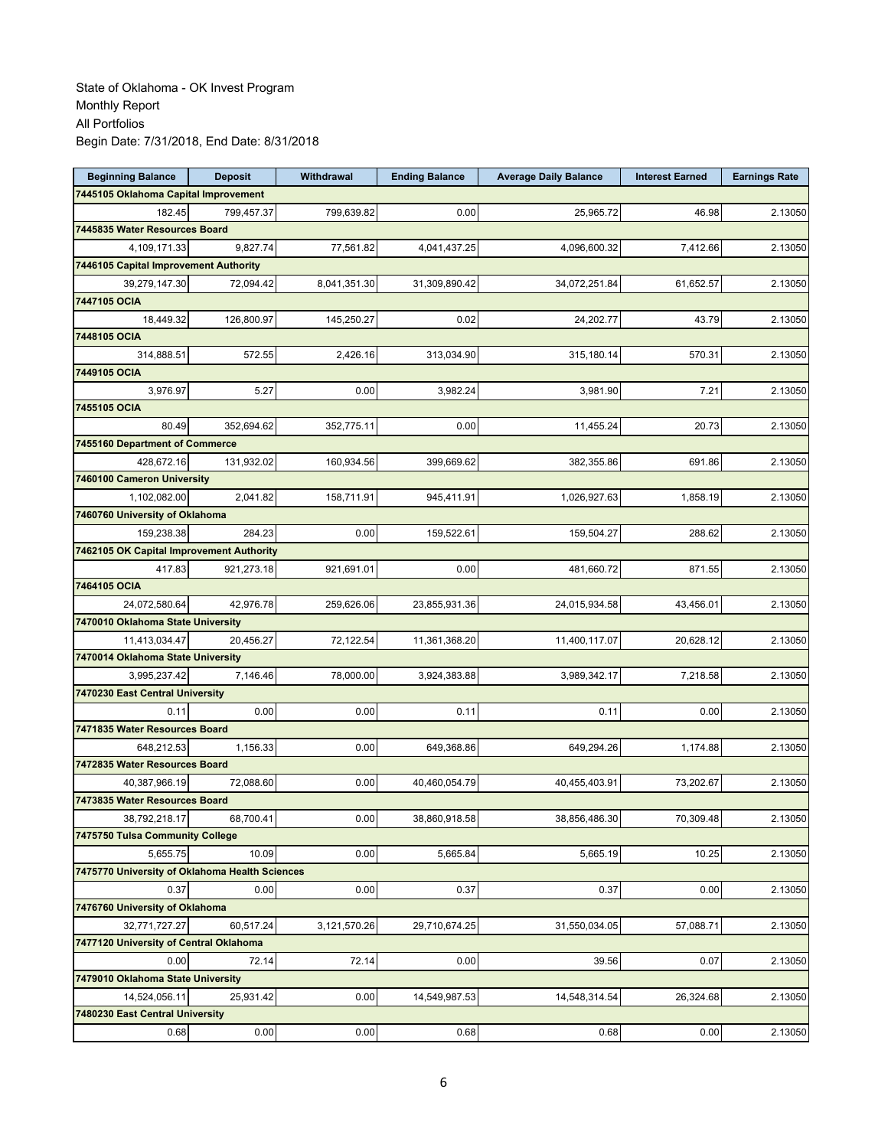| <b>Beginning Balance</b>                       | <b>Deposit</b> | Withdrawal   | <b>Ending Balance</b> | <b>Average Daily Balance</b> | <b>Interest Earned</b> | <b>Earnings Rate</b> |
|------------------------------------------------|----------------|--------------|-----------------------|------------------------------|------------------------|----------------------|
| 7445105 Oklahoma Capital Improvement           |                |              |                       |                              |                        |                      |
| 182.45                                         | 799,457.37     | 799,639.82   | 0.00                  | 25.965.72                    | 46.98                  | 2.13050              |
| 7445835 Water Resources Board                  |                |              |                       |                              |                        |                      |
| 4,109,171.33                                   | 9,827.74       | 77,561.82    | 4,041,437.25          | 4,096,600.32                 | 7,412.66               | 2.13050              |
| 7446105 Capital Improvement Authority          |                |              |                       |                              |                        |                      |
| 39,279,147.30                                  | 72,094.42      | 8,041,351.30 | 31,309,890.42         | 34,072,251.84                | 61,652.57              | 2.13050              |
| 7447105 OCIA                                   |                |              |                       |                              |                        |                      |
| 18,449.32                                      | 126,800.97     | 145,250.27   | 0.02                  | 24,202.77                    | 43.79                  | 2.13050              |
| 7448105 OCIA                                   |                |              |                       |                              |                        |                      |
| 314,888.51                                     | 572.55         | 2,426.16     | 313,034.90            | 315,180.14                   | 570.31                 | 2.13050              |
| 7449105 OCIA                                   |                |              |                       |                              |                        |                      |
| 3,976.97                                       | 5.27           | 0.00         | 3,982.24              | 3,981.90                     | 7.21                   | 2.13050              |
| 7455105 OCIA                                   |                |              |                       |                              |                        |                      |
| 80.49                                          | 352,694.62     | 352,775.11   | 0.00                  | 11,455.24                    | 20.73                  | 2.13050              |
| 7455160 Department of Commerce                 |                |              |                       |                              |                        |                      |
| 428,672.16                                     | 131,932.02     | 160,934.56   | 399,669.62            | 382,355.86                   | 691.86                 | 2.13050              |
| 7460100 Cameron University                     |                |              |                       |                              |                        |                      |
| 1,102,082.00                                   | 2,041.82       | 158,711.91   | 945,411.91            | 1,026,927.63                 | 1,858.19               | 2.13050              |
| 7460760 University of Oklahoma                 |                |              |                       |                              |                        |                      |
| 159,238.38                                     | 284.23         | 0.00         | 159,522.61            | 159,504.27                   | 288.62                 | 2.13050              |
| 7462105 OK Capital Improvement Authority       |                |              |                       |                              |                        |                      |
| 417.83                                         | 921,273.18     | 921,691.01   | 0.00                  | 481,660.72                   | 871.55                 | 2.13050              |
| 7464105 OCIA                                   |                |              |                       |                              |                        |                      |
| 24,072,580.64                                  | 42,976.78      | 259,626.06   | 23,855,931.36         | 24,015,934.58                | 43,456.01              | 2.13050              |
| 7470010 Oklahoma State University              |                |              |                       |                              |                        |                      |
| 11,413,034.47                                  | 20,456.27      | 72,122.54    | 11,361,368.20         | 11,400,117.07                | 20,628.12              | 2.13050              |
| 7470014 Oklahoma State University              |                |              |                       |                              |                        |                      |
| 3,995,237.42                                   | 7,146.46       | 78,000.00    | 3,924,383.88          | 3,989,342.17                 | 7,218.58               | 2.13050              |
| 7470230 East Central University                |                |              |                       |                              |                        |                      |
| 0.11                                           | 0.00           | 0.00         | 0.11                  | 0.11                         | 0.00                   | 2.13050              |
| 7471835 Water Resources Board                  |                |              |                       |                              |                        |                      |
| 648.212.53                                     | 1,156.33       | 0.00         | 649,368.86            | 649,294.26                   | 1,174.88               | 2.13050              |
| 7472835 Water Resources Board                  |                |              |                       |                              |                        |                      |
| 40,387,966.19                                  | 72,088.60      | 0.00         | 40,460,054.79         | 40,455,403.91                | 73,202.67              | 2.13050              |
| 7473835 Water Resources Board                  |                |              |                       |                              |                        |                      |
| 38,792,218.17                                  | 68,700.41      | 0.00         | 38,860,918.58         | 38,856,486.30                | 70,309.48              | 2.13050              |
| 7475750 Tulsa Community College                |                |              |                       |                              |                        |                      |
| 5,655.75                                       | 10.09          | 0.00         | 5,665.84              | 5,665.19                     | 10.25                  | 2.13050              |
| 7475770 University of Oklahoma Health Sciences |                |              |                       |                              |                        |                      |
| 0.37                                           | 0.00           | 0.00         | 0.37                  | 0.37                         | 0.00                   | 2.13050              |
| 7476760 University of Oklahoma                 |                |              |                       |                              |                        |                      |
| 32,771,727.27                                  | 60,517.24      | 3,121,570.26 | 29,710,674.25         | 31,550,034.05                | 57,088.71              | 2.13050              |
| 7477120 University of Central Oklahoma         |                |              |                       |                              |                        |                      |
| 0.00                                           | 72.14          | 72.14        | 0.00                  | 39.56                        | 0.07                   | 2.13050              |
| 7479010 Oklahoma State University              |                |              |                       |                              |                        |                      |
| 14,524,056.11                                  | 25,931.42      | 0.00         | 14,549,987.53         | 14,548,314.54                | 26,324.68              | 2.13050              |
| 7480230 East Central University                |                |              |                       |                              |                        |                      |
| 0.68                                           | 0.00           | 0.00         | 0.68                  | 0.68                         | 0.00                   | 2.13050              |
|                                                |                |              |                       |                              |                        |                      |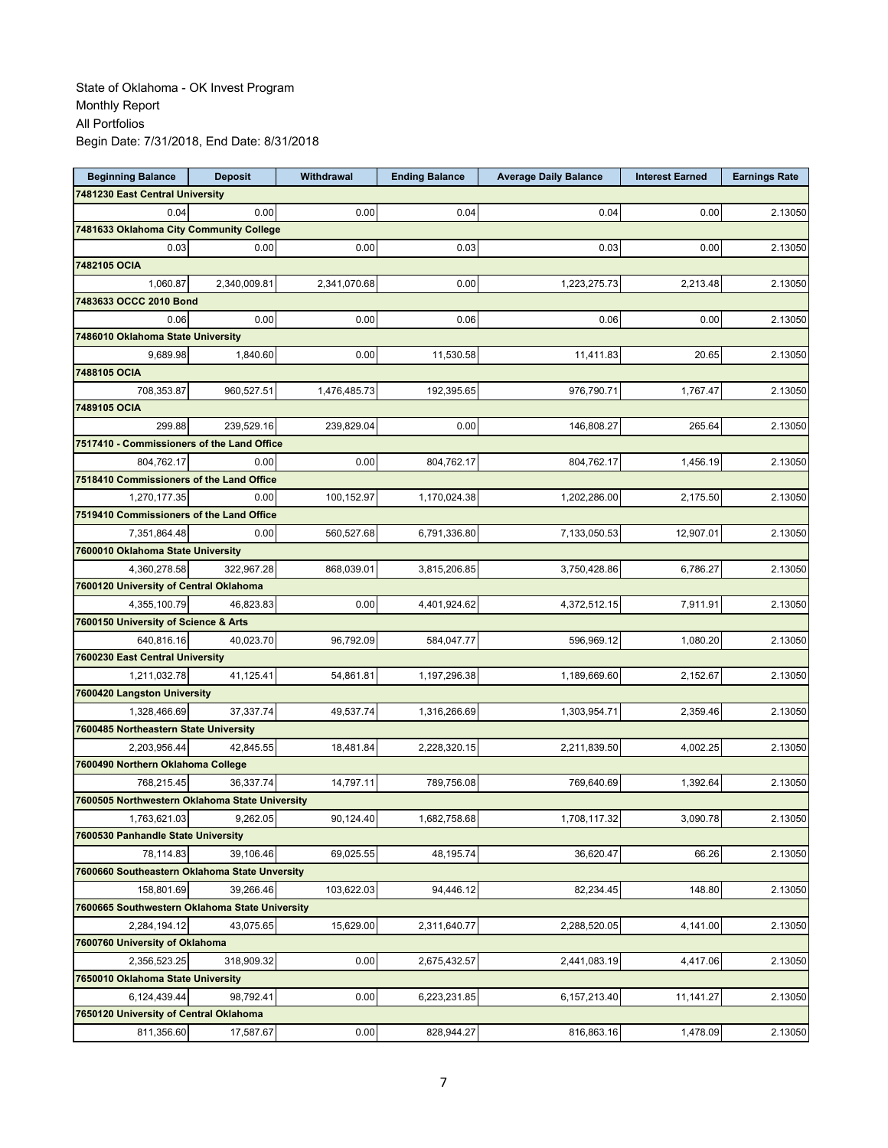| <b>Beginning Balance</b>                       | <b>Deposit</b> | Withdrawal   | <b>Ending Balance</b> | <b>Average Daily Balance</b> | <b>Interest Earned</b> | <b>Earnings Rate</b> |
|------------------------------------------------|----------------|--------------|-----------------------|------------------------------|------------------------|----------------------|
| 7481230 East Central University                |                |              |                       |                              |                        |                      |
| 0.04                                           | 0.00           | 0.00         | 0.04                  | 0.04                         | 0.00                   | 2.13050              |
| 7481633 Oklahoma City Community College        |                |              |                       |                              |                        |                      |
| 0.03                                           | 0.00           | 0.00         | 0.03                  | 0.03                         | 0.00                   | 2.13050              |
| 7482105 OCIA                                   |                |              |                       |                              |                        |                      |
| 1,060.87                                       | 2,340,009.81   | 2,341,070.68 | 0.00                  | 1,223,275.73                 | 2,213.48               | 2.13050              |
| 7483633 OCCC 2010 Bond                         |                |              |                       |                              |                        |                      |
| 0.06                                           | 0.00           | 0.00         | 0.06                  | 0.06                         | 0.00                   | 2.13050              |
| 7486010 Oklahoma State University              |                |              |                       |                              |                        |                      |
| 9.689.98                                       | 1,840.60       | 0.00         | 11,530.58             | 11,411.83                    | 20.65                  | 2.13050              |
| 7488105 OCIA                                   |                |              |                       |                              |                        |                      |
| 708,353.87                                     | 960,527.51     | 1,476,485.73 | 192,395.65            | 976,790.71                   | 1,767.47               | 2.13050              |
| 7489105 OCIA                                   |                |              |                       |                              |                        |                      |
| 299.88                                         | 239,529.16     | 239,829.04   | 0.00                  | 146,808.27                   | 265.64                 | 2.13050              |
| 7517410 - Commissioners of the Land Office     |                |              |                       |                              |                        |                      |
| 804,762.17                                     | 0.00           | 0.00         | 804,762.17            | 804,762.17                   | 1,456.19               | 2.13050              |
| 7518410 Commissioners of the Land Office       |                |              |                       |                              |                        |                      |
|                                                |                |              |                       |                              |                        |                      |
| 1,270,177.35                                   | 0.00           | 100,152.97   | 1,170,024.38          | 1,202,286.00                 | 2,175.50               | 2.13050              |
| 7519410 Commissioners of the Land Office       |                |              |                       |                              |                        |                      |
| 7,351,864.48                                   | 0.00           | 560,527.68   | 6,791,336.80          | 7,133,050.53                 | 12,907.01              | 2.13050              |
| 7600010 Oklahoma State University              |                |              |                       |                              |                        |                      |
| 4,360,278.58                                   | 322,967.28     | 868,039.01   | 3,815,206.85          | 3,750,428.86                 | 6,786.27               | 2.13050              |
| 7600120 University of Central Oklahoma         |                |              |                       |                              |                        |                      |
| 4,355,100.79                                   | 46,823.83      | 0.00         | 4,401,924.62          | 4,372,512.15                 | 7,911.91               | 2.13050              |
| 7600150 University of Science & Arts           |                |              |                       |                              |                        |                      |
| 640,816.16                                     | 40,023.70      | 96,792.09    | 584,047.77            | 596,969.12                   | 1,080.20               | 2.13050              |
| 7600230 East Central University                |                |              |                       |                              |                        |                      |
| 1,211,032.78                                   | 41,125.41      | 54,861.81    | 1,197,296.38          | 1,189,669.60                 | 2,152.67               | 2.13050              |
| 7600420 Langston University                    |                |              |                       |                              |                        |                      |
| 1,328,466.69                                   | 37,337.74      | 49,537.74    | 1,316,266.69          | 1,303,954.71                 | 2,359.46               | 2.13050              |
| 7600485 Northeastern State University          |                |              |                       |                              |                        |                      |
| 2,203,956.44                                   | 42,845.55      | 18,481.84    | 2,228,320.15          | 2,211,839.50                 | 4,002.25               | 2.13050              |
| 7600490 Northern Oklahoma College              |                |              |                       |                              |                        |                      |
| 768,215.45                                     | 36.337.74      | 14,797.11    | 789,756.08            | 769,640.69                   | 1,392.64               | 2.13050              |
| 7600505 Northwestern Oklahoma State University |                |              |                       |                              |                        |                      |
| 1,763,621.03                                   | 9,262.05       | 90,124.40    | 1,682,758.68          | 1,708,117.32                 | 3,090.78               | 2.13050              |
| 7600530 Panhandle State University             |                |              |                       |                              |                        |                      |
| 78,114.83                                      | 39,106.46      | 69,025.55    | 48,195.74             | 36,620.47                    | 66.26                  | 2.13050              |
| 7600660 Southeastern Oklahoma State Unversity  |                |              |                       |                              |                        |                      |
| 158,801.69                                     | 39,266.46      | 103,622.03   | 94,446.12             | 82,234.45                    | 148.80                 | 2.13050              |
| 7600665 Southwestern Oklahoma State University |                |              |                       |                              |                        |                      |
| 2,284,194.12                                   | 43,075.65      | 15,629.00    | 2,311,640.77          | 2,288,520.05                 | 4,141.00               | 2.13050              |
| 7600760 University of Oklahoma                 |                |              |                       |                              |                        |                      |
| 2,356,523.25                                   | 318,909.32     | 0.00         | 2,675,432.57          | 2,441,083.19                 | 4,417.06               | 2.13050              |
| 7650010 Oklahoma State University              |                |              |                       |                              |                        |                      |
| 6,124,439.44                                   | 98,792.41      | 0.00         | 6,223,231.85          | 6,157,213.40                 | 11,141.27              | 2.13050              |
| 7650120 University of Central Oklahoma         |                |              |                       |                              |                        |                      |
| 811,356.60                                     | 17,587.67      | 0.00         | 828,944.27            | 816,863.16                   |                        |                      |
|                                                |                |              |                       |                              | 1,478.09               | 2.13050              |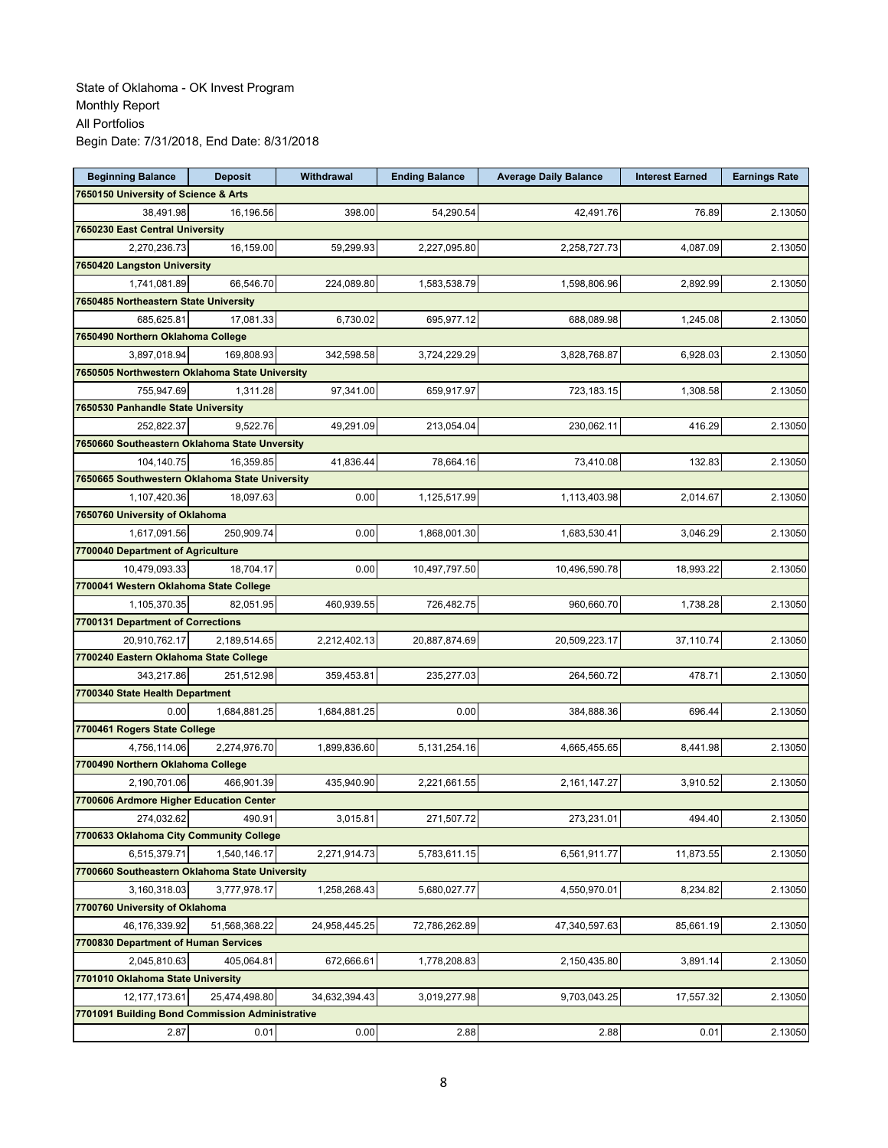| <b>Beginning Balance</b>                                | <b>Deposit</b> | Withdrawal    | <b>Ending Balance</b> | <b>Average Daily Balance</b> | <b>Interest Earned</b> | <b>Earnings Rate</b> |
|---------------------------------------------------------|----------------|---------------|-----------------------|------------------------------|------------------------|----------------------|
| 7650150 University of Science & Arts                    |                |               |                       |                              |                        |                      |
| 38,491.98                                               | 16.196.56      | 398.00        | 54.290.54             | 42.491.76                    | 76.89                  | 2.13050              |
| 7650230 East Central University                         |                |               |                       |                              |                        |                      |
| 2,270,236.73                                            | 16.159.00      | 59,299.93     | 2,227,095.80          | 2,258,727.73                 | 4.087.09               | 2.13050              |
| 7650420 Langston University                             |                |               |                       |                              |                        |                      |
| 1,741,081.89                                            | 66,546.70      | 224,089.80    | 1,583,538.79          | 1,598,806.96                 | 2,892.99               | 2.13050              |
| 7650485 Northeastern State University                   |                |               |                       |                              |                        |                      |
| 685,625.81                                              | 17,081.33      | 6,730.02      | 695,977.12            | 688,089.98                   | 1,245.08               | 2.13050              |
| 7650490 Northern Oklahoma College                       |                |               |                       |                              |                        |                      |
| 3,897,018.94                                            | 169,808.93     | 342,598.58    | 3,724,229.29          | 3,828,768.87                 | 6,928.03               | 2.13050              |
| 7650505 Northwestern Oklahoma State University          |                |               |                       |                              |                        |                      |
| 755,947.69                                              | 1,311.28       | 97,341.00     | 659,917.97            | 723,183.15                   | 1,308.58               | 2.13050              |
| 7650530 Panhandle State University                      |                |               |                       |                              |                        |                      |
| 252,822.37                                              | 9,522.76       | 49,291.09     | 213,054.04            | 230,062.11                   | 416.29                 | 2.13050              |
| 7650660 Southeastern Oklahoma State Unversity           |                |               |                       |                              |                        |                      |
| 104,140.75                                              | 16,359.85      | 41,836.44     | 78,664.16             | 73,410.08                    | 132.83                 | 2.13050              |
| 7650665 Southwestern Oklahoma State University          |                |               |                       |                              |                        |                      |
| 1,107,420.36                                            | 18.097.63      | 0.00          | 1,125,517.99          | 1,113,403.98                 | 2,014.67               | 2.13050              |
| 7650760 University of Oklahoma                          |                |               |                       |                              |                        |                      |
| 1,617,091.56                                            | 250,909.74     | 0.00          | 1,868,001.30          | 1,683,530.41                 | 3,046.29               | 2.13050              |
| 7700040 Department of Agriculture                       |                |               |                       |                              |                        |                      |
| 10,479,093.33                                           | 18.704.17      | 0.00          | 10,497,797.50         | 10,496,590.78                | 18,993.22              | 2.13050              |
| 7700041 Western Oklahoma State College                  |                |               |                       |                              |                        |                      |
| 1,105,370.35                                            | 82,051.95      | 460,939.55    | 726,482.75            | 960,660.70                   | 1,738.28               | 2.13050              |
| 7700131 Department of Corrections                       |                |               |                       |                              |                        |                      |
|                                                         |                |               |                       |                              |                        |                      |
| 20,910,762.17<br>7700240 Eastern Oklahoma State College | 2,189,514.65   | 2,212,402.13  | 20,887,874.69         | 20,509,223.17                | 37,110.74              | 2.13050              |
|                                                         |                |               |                       |                              |                        |                      |
| 343,217.86                                              | 251,512.98     | 359,453.81    | 235,277.03            | 264,560.72                   | 478.71                 | 2.13050              |
| 7700340 State Health Department                         |                |               |                       |                              |                        |                      |
| 0.00                                                    | 1,684,881.25   | 1,684,881.25  | 0.00                  | 384,888.36                   | 696.44                 | 2.13050              |
| 7700461 Rogers State College                            |                |               |                       |                              |                        |                      |
| 4,756,114.06                                            | 2,274,976.70   | 1,899,836.60  | 5, 131, 254. 16       | 4,665,455.65                 | 8,441.98               | 2.13050              |
| 7700490 Northern Oklahoma College                       |                |               |                       |                              |                        |                      |
| 2,190,701.06                                            | 466,901.39     | 435,940.90    | 2,221,661.55          | 2,161,147.27                 | 3,910.52               | 2.13050              |
| 7700606 Ardmore Higher Education Center                 |                |               |                       |                              |                        |                      |
| 274,032.62                                              | 490.91         | 3,015.81      | 271.507.72            | 273.231.01                   | 494.40                 | 2.13050              |
| 7700633 Oklahoma City Community College                 |                |               |                       |                              |                        |                      |
| 6,515,379.71                                            | 1,540,146.17   | 2,271,914.73  | 5,783,611.15          | 6,561,911.77                 | 11,873.55              | 2.13050              |
| 7700660 Southeastern Oklahoma State University          |                |               |                       |                              |                        |                      |
| 3,160,318.03                                            | 3,777,978.17   | 1,258,268.43  | 5,680,027.77          | 4,550,970.01                 | 8,234.82               | 2.13050              |
| 7700760 University of Oklahoma                          |                |               |                       |                              |                        |                      |
| 46,176,339.92                                           | 51,568,368.22  | 24,958,445.25 | 72,786,262.89         | 47,340,597.63                | 85,661.19              | 2.13050              |
| 7700830 Department of Human Services                    |                |               |                       |                              |                        |                      |
| 2,045,810.63                                            | 405,064.81     | 672,666.61    | 1,778,208.83          | 2,150,435.80                 | 3,891.14               | 2.13050              |
| 7701010 Oklahoma State University                       |                |               |                       |                              |                        |                      |
| 12, 177, 173.61                                         | 25,474,498.80  | 34,632,394.43 | 3,019,277.98          | 9,703,043.25                 | 17,557.32              | 2.13050              |
| 7701091 Building Bond Commission Administrative         |                |               |                       |                              |                        |                      |
| 2.87                                                    | 0.01           | 0.00          | 2.88                  | 2.88                         | 0.01                   | 2.13050              |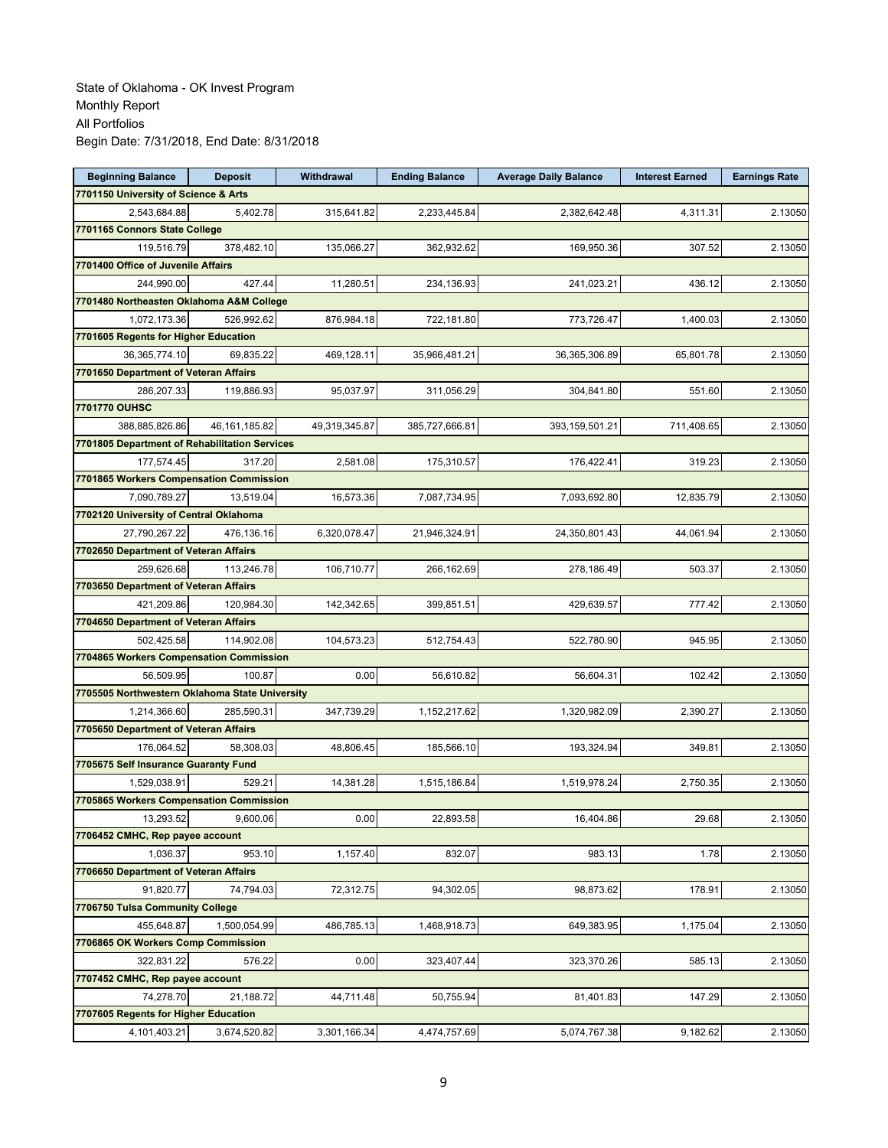| <b>Beginning Balance</b>                                    | <b>Deposit</b>  | Withdrawal    | <b>Ending Balance</b> | <b>Average Daily Balance</b> | <b>Interest Earned</b> | <b>Earnings Rate</b> |
|-------------------------------------------------------------|-----------------|---------------|-----------------------|------------------------------|------------------------|----------------------|
| 7701150 University of Science & Arts                        |                 |               |                       |                              |                        |                      |
| 2,543,684.88                                                | 5,402.78        | 315,641.82    | 2,233,445.84          | 2,382,642.48                 | 4,311.31               | 2.13050              |
| 7701165 Connors State College                               |                 |               |                       |                              |                        |                      |
| 119,516.79                                                  | 378,482.10      | 135,066.27    | 362.932.62            | 169,950.36                   | 307.52                 | 2.13050              |
| 7701400 Office of Juvenile Affairs                          |                 |               |                       |                              |                        |                      |
| 244,990.00                                                  | 427.44          | 11,280.51     | 234,136.93            | 241,023.21                   | 436.12                 | 2.13050              |
| 7701480 Northeasten Oklahoma A&M College                    |                 |               |                       |                              |                        |                      |
| 1,072,173.36                                                | 526,992.62      | 876,984.18    | 722,181.80            | 773,726.47                   | 1,400.03               | 2.13050              |
| 7701605 Regents for Higher Education                        |                 |               |                       |                              |                        |                      |
| 36,365,774.10                                               | 69,835.22       | 469,128.11    | 35,966,481.21         | 36,365,306.89                | 65,801.78              | 2.13050              |
| 7701650 Department of Veteran Affairs                       |                 |               |                       |                              |                        |                      |
| 286,207.33                                                  | 119,886.93      | 95,037.97     | 311,056.29            | 304,841.80                   | 551.60                 | 2.13050              |
| 7701770 OUHSC                                               |                 |               |                       |                              |                        |                      |
| 388,885,826.86                                              | 46, 161, 185.82 | 49,319,345.87 | 385,727,666.81        | 393,159,501.21               | 711,408.65             | 2.13050              |
| 7701805 Department of Rehabilitation Services               |                 |               |                       |                              |                        |                      |
| 177,574.45                                                  | 317.20          | 2,581.08      | 175,310.57            | 176,422.41                   | 319.23                 | 2.13050              |
| 7701865 Workers Compensation Commission                     |                 |               |                       |                              |                        |                      |
| 7,090,789.27                                                | 13,519.04       | 16,573.36     | 7,087,734.95          | 7,093,692.80                 | 12,835.79              | 2.13050              |
| 7702120 University of Central Oklahoma                      |                 |               |                       |                              |                        |                      |
| 27,790,267.22                                               | 476,136.16      | 6,320,078.47  | 21,946,324.91         | 24,350,801.43                | 44,061.94              | 2.13050              |
| 7702650 Department of Veteran Affairs                       |                 |               |                       |                              |                        |                      |
| 259,626.68                                                  | 113,246.78      | 106,710.77    | 266,162.69            | 278,186.49                   | 503.37                 | 2.13050              |
| 7703650 Department of Veteran Affairs                       |                 |               |                       |                              |                        |                      |
| 421,209.86                                                  | 120,984.30      | 142,342.65    | 399,851.51            | 429,639.57                   | 777.42                 | 2.13050              |
| 7704650 Department of Veteran Affairs                       |                 |               |                       |                              |                        |                      |
|                                                             |                 |               |                       |                              |                        |                      |
| 502,425.58<br>7704865 Workers Compensation Commission       | 114,902.08      | 104,573.23    | 512,754.43            | 522,780.90                   | 945.95                 | 2.13050              |
|                                                             | 100.87          | 0.00          | 56,610.82             | 56,604.31                    | 102.42                 | 2.13050              |
| 56,509.95<br>7705505 Northwestern Oklahoma State University |                 |               |                       |                              |                        |                      |
|                                                             |                 |               |                       |                              |                        |                      |
| 1,214,366.60                                                | 285,590.31      | 347,739.29    | 1,152,217.62          | 1,320,982.09                 | 2,390.27               | 2.13050              |
| 7705650 Department of Veteran Affairs                       |                 |               |                       |                              |                        |                      |
| 176,064.52                                                  | 58,308.03       | 48,806.45     | 185,566.10            | 193,324.94                   | 349.81                 | 2.13050              |
| 7705675 Self Insurance Guaranty Fund                        |                 |               |                       |                              |                        |                      |
| 1,529,038.91                                                | 529.21          | 14,381.28     | 1,515,186.84          | 1,519,978.24                 | 2,750.35               | 2.13050              |
| 7705865 Workers Compensation Commission                     |                 |               |                       |                              |                        |                      |
| 13,293.52                                                   | 9,600.06        | 0.00          | 22,893.58             | 16,404.86                    | 29.68                  | 2.13050              |
| 7706452 CMHC, Rep payee account                             |                 |               |                       |                              |                        |                      |
| 1,036.37                                                    | 953.10          | 1,157.40      | 832.07                | 983.13                       | 1.78                   | 2.13050              |
| 7706650 Department of Veteran Affairs                       |                 |               |                       |                              |                        |                      |
| 91,820.77                                                   | 74,794.03       | 72,312.75     | 94,302.05             | 98,873.62                    | 178.91                 | 2.13050              |
| 7706750 Tulsa Community College                             |                 |               |                       |                              |                        |                      |
| 455,648.87                                                  | 1,500,054.99    | 486,785.13    | 1,468,918.73          | 649,383.95                   | 1,175.04               | 2.13050              |
| 7706865 OK Workers Comp Commission                          |                 |               |                       |                              |                        |                      |
| 322,831.22                                                  | 576.22          | 0.00          | 323,407.44            | 323,370.26                   | 585.13                 | 2.13050              |
| 7707452 CMHC, Rep payee account                             |                 |               |                       |                              |                        |                      |
| 74,278.70                                                   | 21,188.72       | 44,711.48     | 50,755.94             | 81,401.83                    | 147.29                 | 2.13050              |
| 7707605 Regents for Higher Education                        |                 |               |                       |                              |                        |                      |
| 4,101,403.21                                                | 3,674,520.82    | 3,301,166.34  | 4,474,757.69          | 5,074,767.38                 | 9,182.62               | 2.13050              |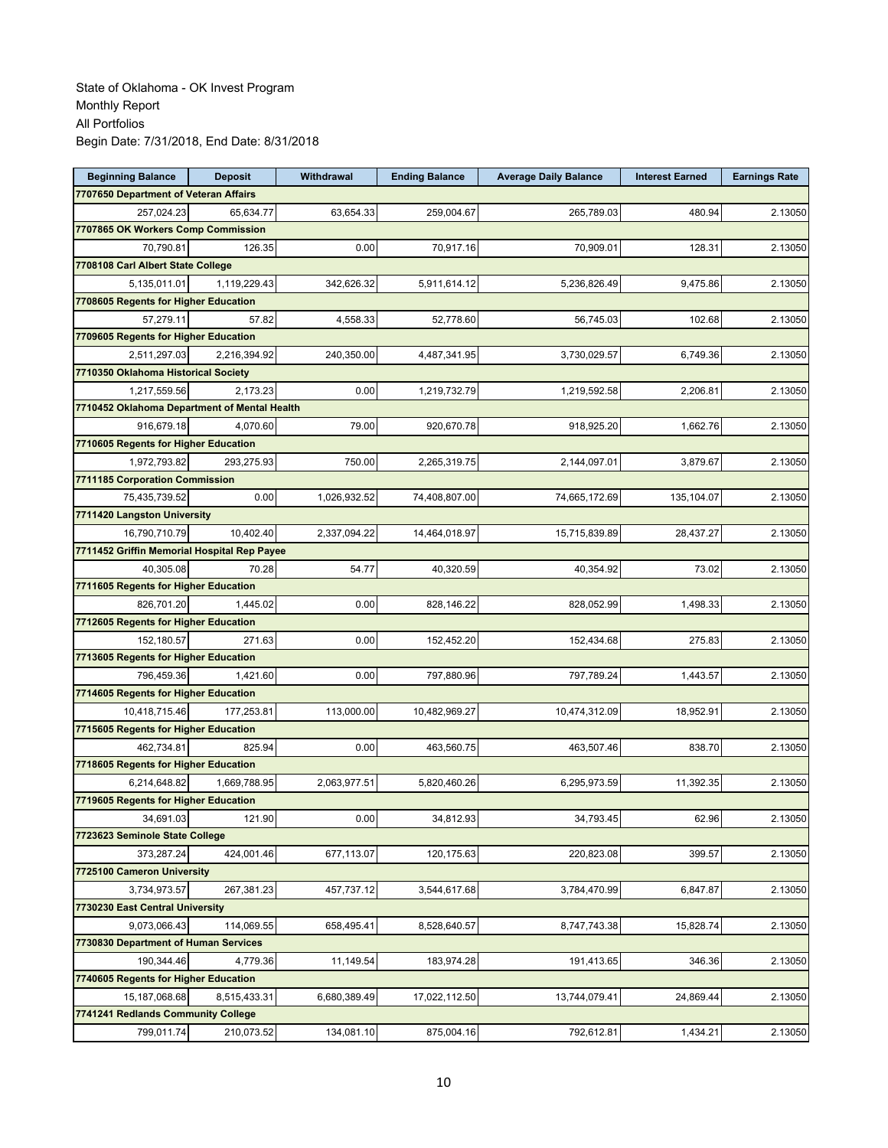| <b>Beginning Balance</b>                     | <b>Deposit</b> | Withdrawal   | <b>Ending Balance</b> | <b>Average Daily Balance</b> | <b>Interest Earned</b> | <b>Earnings Rate</b> |
|----------------------------------------------|----------------|--------------|-----------------------|------------------------------|------------------------|----------------------|
| 7707650 Department of Veteran Affairs        |                |              |                       |                              |                        |                      |
| 257,024.23                                   | 65,634.77      | 63,654.33    | 259,004.67            | 265,789.03                   | 480.94                 | 2.13050              |
| 7707865 OK Workers Comp Commission           |                |              |                       |                              |                        |                      |
| 70,790.81                                    | 126.35         | 0.00         | 70,917.16             | 70,909.01                    | 128.31                 | 2.13050              |
| 7708108 Carl Albert State College            |                |              |                       |                              |                        |                      |
| 5,135,011.01                                 | 1,119,229.43   | 342,626.32   | 5,911,614.12          | 5,236,826.49                 | 9,475.86               | 2.13050              |
| 7708605 Regents for Higher Education         |                |              |                       |                              |                        |                      |
| 57,279.11                                    | 57.82          | 4,558.33     | 52,778.60             | 56,745.03                    | 102.68                 | 2.13050              |
| 7709605 Regents for Higher Education         |                |              |                       |                              |                        |                      |
| 2,511,297.03                                 | 2,216,394.92   | 240,350.00   | 4,487,341.95          | 3,730,029.57                 | 6,749.36               | 2.13050              |
| 7710350 Oklahoma Historical Society          |                |              |                       |                              |                        |                      |
| 1,217,559.56                                 | 2,173.23       | 0.00         | 1,219,732.79          | 1,219,592.58                 | 2,206.81               | 2.13050              |
| 7710452 Oklahoma Department of Mental Health |                |              |                       |                              |                        |                      |
| 916,679.18                                   | 4,070.60       | 79.00        | 920,670.78            | 918,925.20                   | 1,662.76               | 2.13050              |
| 7710605 Regents for Higher Education         |                |              |                       |                              |                        |                      |
| 1,972,793.82                                 | 293,275.93     | 750.00       | 2,265,319.75          | 2,144,097.01                 | 3,879.67               | 2.13050              |
| 7711185 Corporation Commission               |                |              |                       |                              |                        |                      |
| 75,435,739.52                                | 0.00           | 1,026,932.52 | 74,408,807.00         | 74,665,172.69                | 135,104.07             | 2.13050              |
| 7711420 Langston University                  |                |              |                       |                              |                        |                      |
| 16,790,710.79                                | 10,402.40      | 2,337,094.22 | 14,464,018.97         | 15,715,839.89                | 28,437.27              | 2.13050              |
| 7711452 Griffin Memorial Hospital Rep Payee  |                |              |                       |                              |                        |                      |
| 40,305.08                                    | 70.28          | 54.77        | 40,320.59             | 40,354.92                    | 73.02                  | 2.13050              |
| 7711605 Regents for Higher Education         |                |              |                       |                              |                        |                      |
| 826,701.20                                   | 1,445.02       | 0.00         | 828,146.22            | 828,052.99                   | 1,498.33               | 2.13050              |
| 7712605 Regents for Higher Education         |                |              |                       |                              |                        |                      |
| 152,180.57                                   | 271.63         | 0.00         | 152,452.20            | 152,434.68                   | 275.83                 | 2.13050              |
| 7713605 Regents for Higher Education         |                |              |                       |                              |                        |                      |
| 796,459.36                                   | 1,421.60       | 0.00         | 797,880.96            | 797,789.24                   | 1,443.57               | 2.13050              |
| 7714605 Regents for Higher Education         |                |              |                       |                              |                        |                      |
| 10,418,715.46                                | 177,253.81     | 113,000.00   | 10,482,969.27         | 10,474,312.09                | 18,952.91              | 2.13050              |
| 7715605 Regents for Higher Education         |                |              |                       |                              |                        |                      |
| 462,734.81                                   | 825.94         | 0.00         | 463,560.75            | 463,507.46                   | 838.70                 | 2.13050              |
| 7718605 Regents for Higher Education         |                |              |                       |                              |                        |                      |
| 6,214,648.82                                 | 1,669,788.95   | 2,063,977.51 | 5,820,460.26          | 6,295,973.59                 | 11,392.35              | 2.13050              |
| 7719605 Regents for Higher Education         |                |              |                       |                              |                        |                      |
| 34,691.03                                    | 121.90         | 0.00         | 34,812.93             | 34,793.45                    | 62.96                  | 2.13050              |
| 7723623 Seminole State College               |                |              |                       |                              |                        |                      |
| 373,287.24                                   | 424,001.46     | 677,113.07   | 120, 175.63           | 220,823.08                   | 399.57                 | 2.13050              |
| 7725100 Cameron University                   |                |              |                       |                              |                        |                      |
|                                              |                |              |                       |                              |                        |                      |
| 3,734,973.57                                 | 267,381.23     | 457,737.12   | 3,544,617.68          | 3,784,470.99                 | 6,847.87               | 2.13050              |
| 7730230 East Central University              | 114,069.55     |              |                       |                              |                        |                      |
| 9,073,066.43                                 |                | 658,495.41   | 8,528,640.57          | 8,747,743.38                 | 15,828.74              | 2.13050              |
| 7730830 Department of Human Services         |                |              |                       |                              |                        |                      |
| 190,344.46                                   | 4,779.36       | 11,149.54    | 183,974.28            | 191,413.65                   | 346.36                 | 2.13050              |
| 7740605 Regents for Higher Education         |                |              |                       |                              |                        |                      |
| 15,187,068.68                                | 8,515,433.31   | 6,680,389.49 | 17,022,112.50         | 13,744,079.41                | 24,869.44              | 2.13050              |
| 7741241 Redlands Community College           |                |              |                       |                              |                        |                      |
| 799,011.74                                   | 210,073.52     | 134,081.10   | 875,004.16            | 792,612.81                   | 1,434.21               | 2.13050              |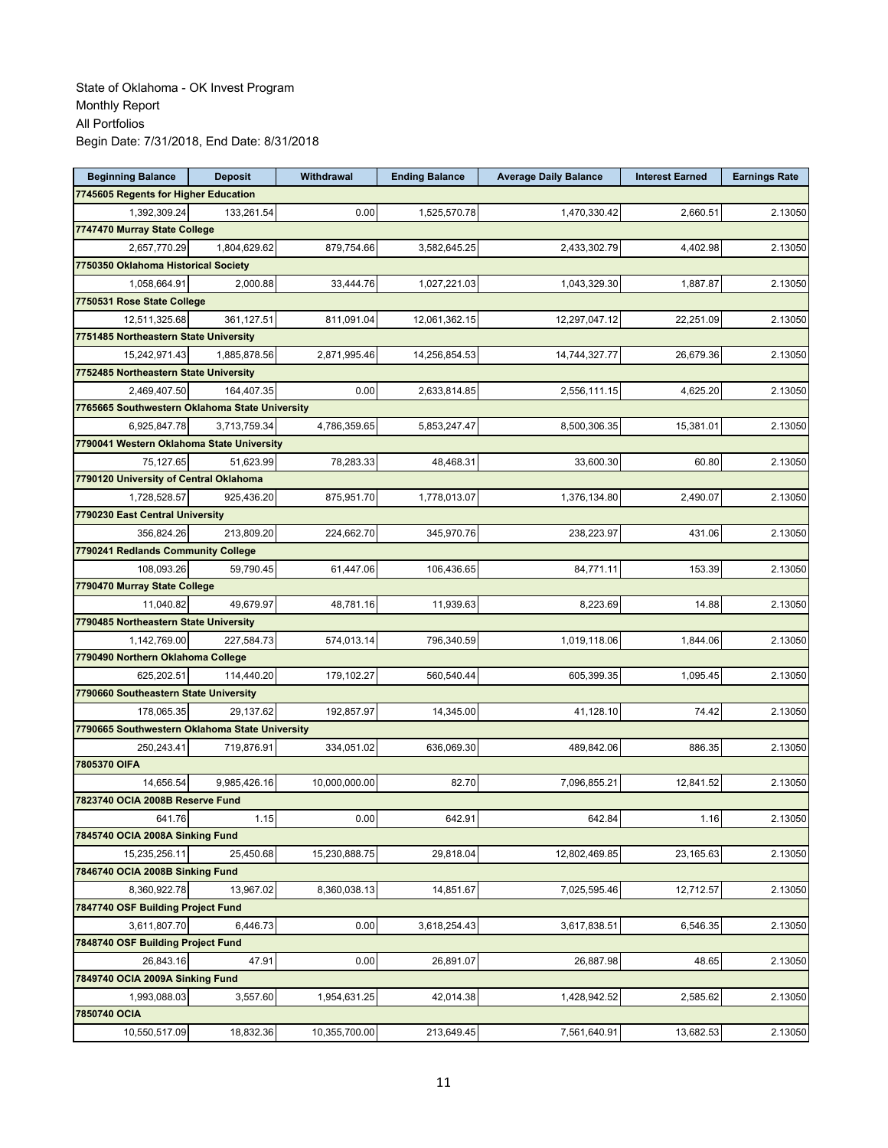| <b>Beginning Balance</b>                       | <b>Deposit</b> | Withdrawal    | <b>Ending Balance</b> | <b>Average Daily Balance</b> | <b>Interest Earned</b> | <b>Earnings Rate</b> |
|------------------------------------------------|----------------|---------------|-----------------------|------------------------------|------------------------|----------------------|
| 7745605 Regents for Higher Education           |                |               |                       |                              |                        |                      |
| 1,392,309.24                                   | 133,261.54     | 0.00          | 1,525,570.78          | 1,470,330.42                 | 2,660.51               | 2.13050              |
| 7747470 Murray State College                   |                |               |                       |                              |                        |                      |
| 2,657,770.29                                   | 1,804,629.62   | 879,754.66    | 3,582,645.25          | 2,433,302.79                 | 4,402.98               | 2.13050              |
| 7750350 Oklahoma Historical Society            |                |               |                       |                              |                        |                      |
| 1,058,664.91                                   | 2,000.88       | 33,444.76     | 1,027,221.03          | 1,043,329.30                 | 1,887.87               | 2.13050              |
| 7750531 Rose State College                     |                |               |                       |                              |                        |                      |
| 12,511,325.68                                  | 361,127.51     | 811,091.04    | 12,061,362.15         | 12,297,047.12                | 22,251.09              | 2.13050              |
| 7751485 Northeastern State University          |                |               |                       |                              |                        |                      |
| 15,242,971.43                                  | 1,885,878.56   | 2,871,995.46  | 14,256,854.53         | 14,744,327.77                | 26,679.36              | 2.13050              |
| 7752485 Northeastern State University          |                |               |                       |                              |                        |                      |
| 2,469,407.50                                   | 164,407.35     | 0.00          | 2,633,814.85          | 2,556,111.15                 | 4,625.20               | 2.13050              |
| 7765665 Southwestern Oklahoma State University |                |               |                       |                              |                        |                      |
| 6,925,847.78                                   | 3,713,759.34   | 4,786,359.65  | 5,853,247.47          | 8,500,306.35                 | 15,381.01              | 2.13050              |
| 7790041 Western Oklahoma State University      |                |               |                       |                              |                        |                      |
| 75.127.65                                      | 51,623.99      | 78,283.33     | 48,468.31             | 33,600.30                    | 60.80                  | 2.13050              |
| 7790120 University of Central Oklahoma         |                |               |                       |                              |                        |                      |
| 1,728,528.57                                   | 925,436.20     | 875,951.70    | 1,778,013.07          | 1,376,134.80                 | 2,490.07               | 2.13050              |
| 7790230 East Central University                |                |               |                       |                              |                        |                      |
| 356,824.26                                     | 213,809.20     | 224,662.70    | 345,970.76            | 238,223.97                   | 431.06                 | 2.13050              |
| 7790241 Redlands Community College             |                |               |                       |                              |                        |                      |
| 108,093.26                                     | 59,790.45      | 61,447.06     | 106,436.65            | 84,771.11                    | 153.39                 | 2.13050              |
| 7790470 Murray State College                   |                |               |                       |                              |                        |                      |
| 11,040.82                                      | 49,679.97      | 48,781.16     | 11,939.63             | 8,223.69                     | 14.88                  | 2.13050              |
| 7790485 Northeastern State University          |                |               |                       |                              |                        |                      |
| 1,142,769.00                                   | 227,584.73     | 574,013.14    | 796,340.59            | 1,019,118.06                 | 1,844.06               | 2.13050              |
| 7790490 Northern Oklahoma College              |                |               |                       |                              |                        |                      |
| 625,202.51                                     | 114,440.20     | 179,102.27    | 560,540.44            | 605,399.35                   | 1,095.45               | 2.13050              |
| 7790660 Southeastern State University          |                |               |                       |                              |                        |                      |
| 178,065.35                                     | 29,137.62      | 192,857.97    | 14,345.00             | 41,128.10                    | 74.42                  | 2.13050              |
| 7790665 Southwestern Oklahoma State University |                |               |                       |                              |                        |                      |
| 250,243.41                                     | 719,876.91     | 334,051.02    | 636,069.30            | 489,842.06                   | 886.35                 | 2.13050              |
| 7805370 OIFA                                   |                |               |                       |                              |                        |                      |
| 14.656.54                                      | 9,985,426.16   | 10,000,000.00 | 82.70                 | 7,096,855.21                 | 12,841.52              | 2.13050              |
| 7823740 OCIA 2008B Reserve Fund                |                |               |                       |                              |                        |                      |
| 641.76                                         | 1.15           | 0.00          | 642.91                | 642.84                       | 1.16                   | 2.13050              |
| 7845740 OCIA 2008A Sinking Fund                |                |               |                       |                              |                        |                      |
| 15,235,256.11                                  | 25,450.68      | 15,230,888.75 | 29,818.04             | 12,802,469.85                | 23,165.63              | 2.13050              |
| 7846740 OCIA 2008B Sinking Fund                |                |               |                       |                              |                        |                      |
| 8,360,922.78                                   | 13,967.02      | 8,360,038.13  | 14,851.67             | 7,025,595.46                 | 12,712.57              | 2.13050              |
| 7847740 OSF Building Project Fund              |                |               |                       |                              |                        |                      |
| 3,611,807.70                                   | 6,446.73       | 0.00          | 3,618,254.43          | 3,617,838.51                 | 6,546.35               | 2.13050              |
| 7848740 OSF Building Project Fund              |                |               |                       |                              |                        |                      |
| 26,843.16                                      | 47.91          | 0.00          | 26,891.07             | 26,887.98                    | 48.65                  | 2.13050              |
| 7849740 OCIA 2009A Sinking Fund                |                |               |                       |                              |                        |                      |
| 1,993,088.03                                   | 3,557.60       | 1,954,631.25  | 42,014.38             | 1,428,942.52                 | 2,585.62               | 2.13050              |
| 7850740 OCIA                                   |                |               |                       |                              |                        |                      |
| 10,550,517.09                                  | 18,832.36      | 10,355,700.00 | 213,649.45            | 7,561,640.91                 | 13,682.53              | 2.13050              |